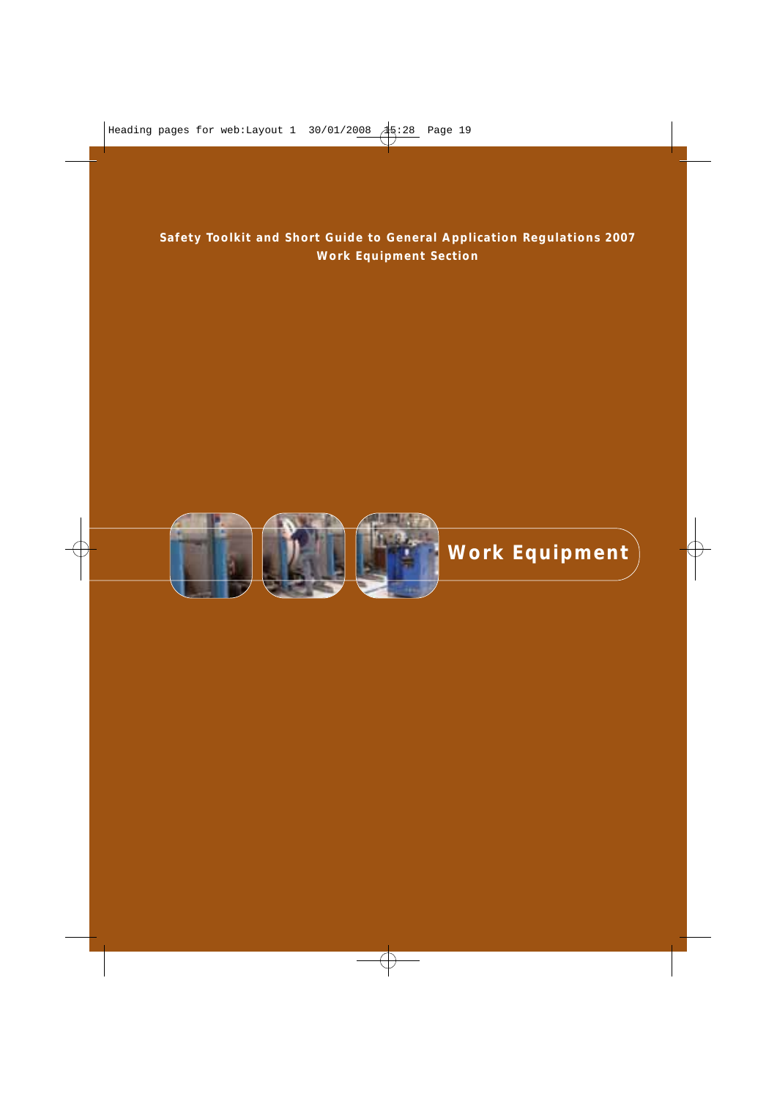#### **Safety Toolkit and Short Guide to General Application Regulations 2007 Work Equipment Section**

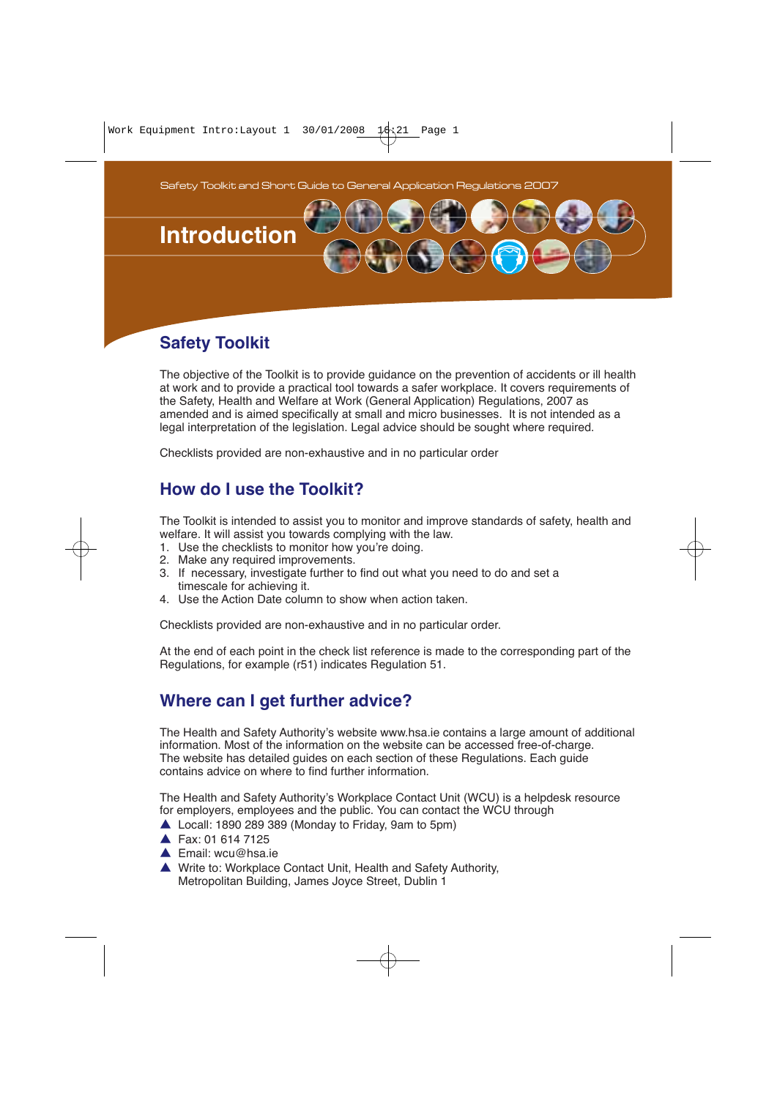Safety Toolkit and Short Guide to General Application Regulations 2007



## **Safety Toolkit**

The objective of the Toolkit is to provide guidance on the prevention of accidents or ill health at work and to provide a practical tool towards a safer workplace. It covers requirements of the Safety, Health and Welfare at Work (General Application) Regulations, 2007 as amended and is aimed specifically at small and micro businesses. It is not intended as a legal interpretation of the legislation. Legal advice should be sought where required.

Checklists provided are non-exhaustive and in no particular order

## **How do I use the Toolkit?**

The Toolkit is intended to assist you to monitor and improve standards of safety, health and welfare. It will assist you towards complying with the law.

- 1. Use the checklists to monitor how you're doing.
- 2. Make any required improvements.
- 3. If necessary, investigate further to find out what you need to do and set a timescale for achieving it.
- 4. Use the Action Date column to show when action taken.

Checklists provided are non-exhaustive and in no particular order.

At the end of each point in the check list reference is made to the corresponding part of the Regulations, for example (r51) indicates Regulation 51.

## **Where can I get further advice?**

The Health and Safety Authority's website www.hsa.ie contains a large amount of additional information. Most of the information on the website can be accessed free-of-charge. The website has detailed guides on each section of these Regulations. Each guide contains advice on where to find further information.

The Health and Safety Authority's Workplace Contact Unit (WCU) is a helpdesk resource for employers, employees and the public. You can contact the WCU through

- $\triangle$  Locall: 1890 289 389 (Monday to Friday, 9am to 5pm)
- ▲ Fax: 01 614 7125
- ▲ Email: wcu@hsa.ie
- ▲ Write to: Workplace Contact Unit, Health and Safety Authority, Metropolitan Building, James Joyce Street, Dublin 1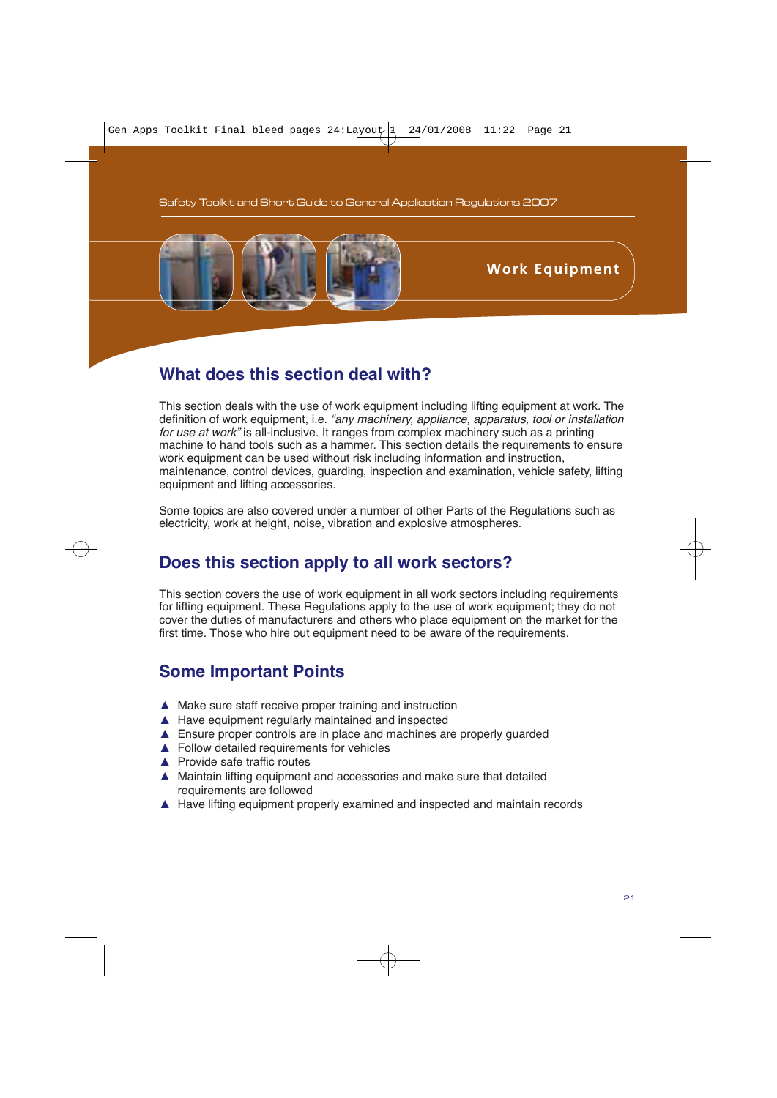

## **What does this section deal with?**

This section deals with the use of work equipment including lifting equipment at work. The definition of work equipment, i.e. "any machinery, appliance, apparatus, tool or installation for use at work" is all-inclusive. It ranges from complex machinery such as a printing machine to hand tools such as a hammer. This section details the requirements to ensure work equipment can be used without risk including information and instruction, maintenance, control devices, guarding, inspection and examination, vehicle safety, lifting equipment and lifting accessories.

Some topics are also covered under a number of other Parts of the Regulations such as electricity, work at height, noise, vibration and explosive atmospheres.

## **Does this section apply to all work sectors?**

This section covers the use of work equipment in all work sectors including requirements for lifting equipment. These Regulations apply to the use of work equipment; they do not cover the duties of manufacturers and others who place equipment on the market for the first time. Those who hire out equipment need to be aware of the requirements.

## **Some Important Points**

- ▲ Make sure staff receive proper training and instruction
- ▲ Have equipment regularly maintained and inspected
- ▲ Ensure proper controls are in place and machines are properly guarded
- ▲ Follow detailed requirements for vehicles
- ▲ Provide safe traffic routes
- ▲ Maintain lifting equipment and accessories and make sure that detailed requirements are followed
- ▲ Have lifting equipment properly examined and inspected and maintain records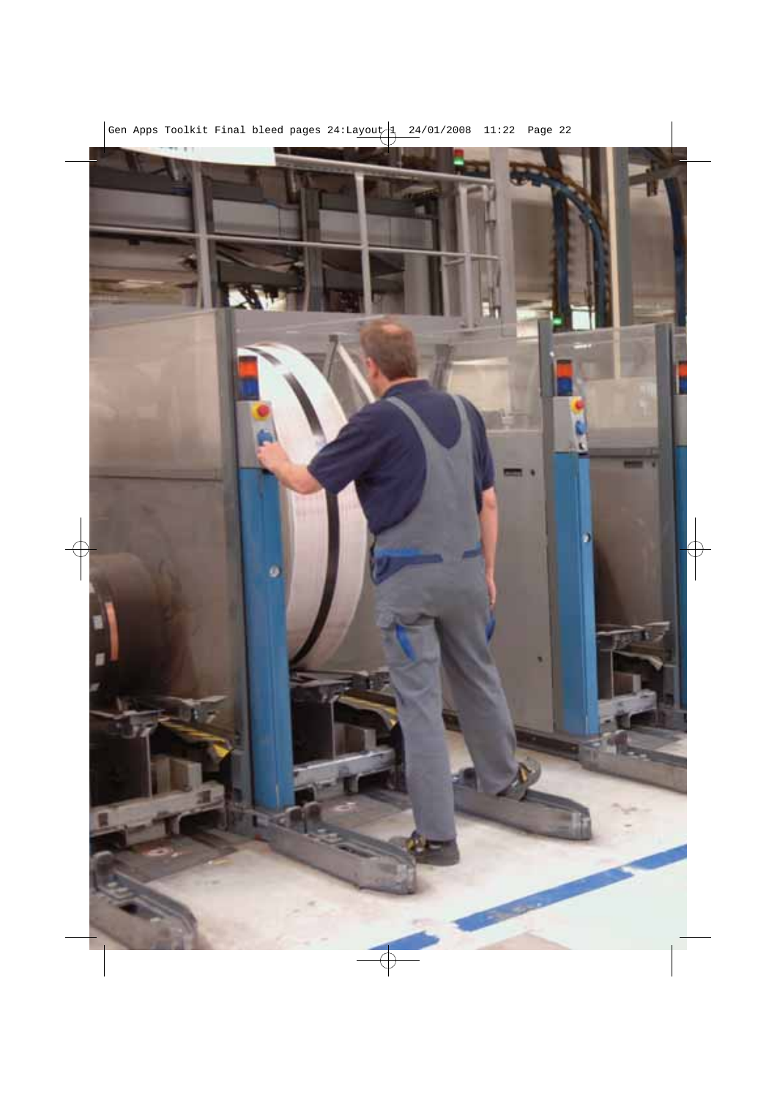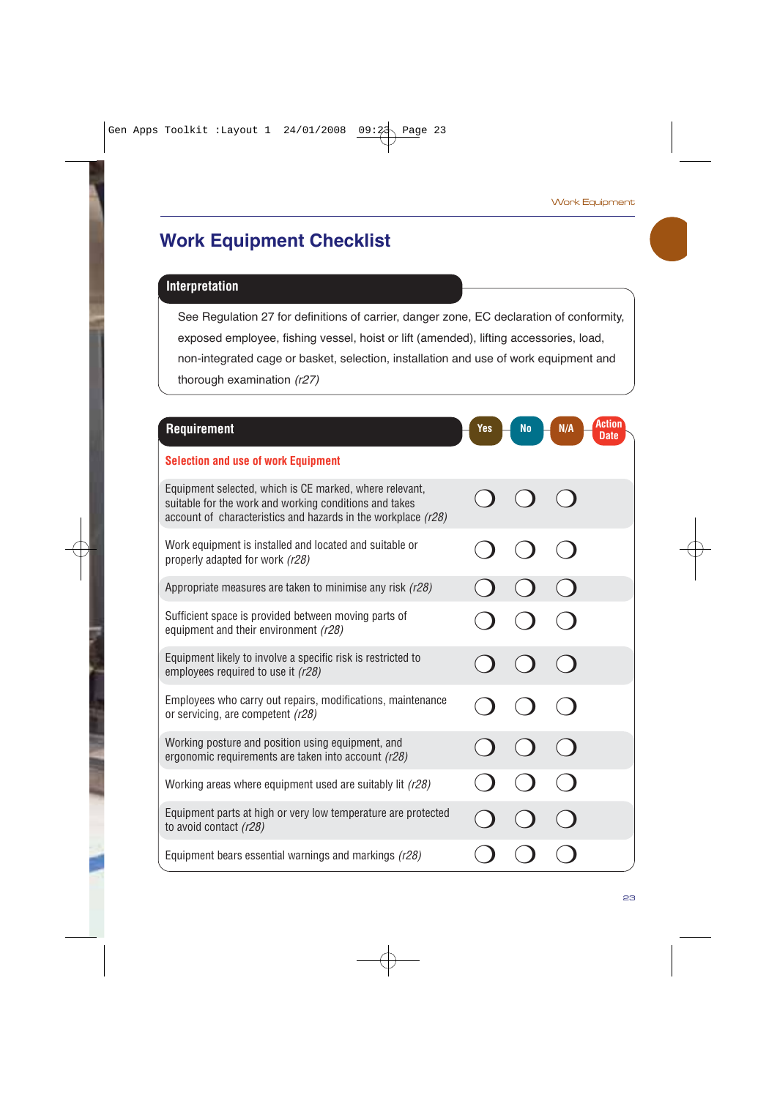# **Work Equipment Checklist**

#### **Interpretation**

See Regulation 27 for definitions of carrier, danger zone, EC declaration of conformity, exposed employee, fishing vessel, hoist or lift (amended), lifting accessories, load, non-integrated cage or basket, selection, installation and use of work equipment and thorough examination (r27)

| Requirement                                                                                                                                                                        | Yes | <b>No</b> | N/A | Action<br><b>Date</b> |
|------------------------------------------------------------------------------------------------------------------------------------------------------------------------------------|-----|-----------|-----|-----------------------|
| <b>Selection and use of work Equipment</b>                                                                                                                                         |     |           |     |                       |
| Equipment selected, which is CE marked, where relevant,<br>suitable for the work and working conditions and takes<br>account of characteristics and hazards in the workplace (r28) |     |           |     |                       |
| Work equipment is installed and located and suitable or<br>properly adapted for work (r28)                                                                                         |     |           |     |                       |
| Appropriate measures are taken to minimise any risk (r28)                                                                                                                          |     |           |     |                       |
| Sufficient space is provided between moving parts of<br>equipment and their environment (r28)                                                                                      |     |           |     |                       |
| Equipment likely to involve a specific risk is restricted to<br>employees required to use it (r28)                                                                                 |     |           |     |                       |
| Employees who carry out repairs, modifications, maintenance<br>or servicing, are competent (r28)                                                                                   |     |           |     |                       |
| Working posture and position using equipment, and<br>ergonomic requirements are taken into account (r28)                                                                           |     |           |     |                       |
| Working areas where equipment used are suitably lit (r28)                                                                                                                          |     |           |     |                       |
| Equipment parts at high or very low temperature are protected<br>to avoid contact (r28)                                                                                            |     |           |     |                       |
| Equipment bears essential warnings and markings (r28)                                                                                                                              |     |           |     |                       |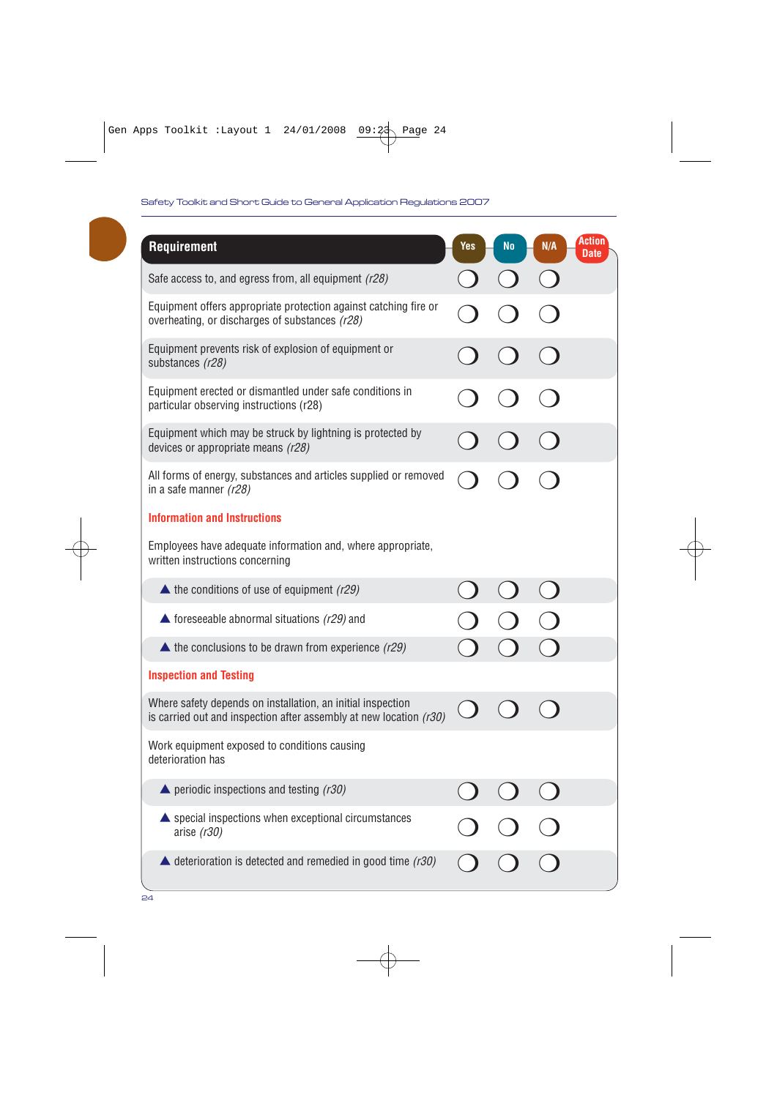| Requirement                                                                                                                         | Yes | N <sub>0</sub> | N/A | <b>Action</b><br>Date |
|-------------------------------------------------------------------------------------------------------------------------------------|-----|----------------|-----|-----------------------|
| Safe access to, and egress from, all equipment (r28)                                                                                |     |                |     |                       |
| Equipment offers appropriate protection against catching fire or<br>overheating, or discharges of substances (r28)                  |     |                |     |                       |
| Equipment prevents risk of explosion of equipment or<br>substances (r28)                                                            |     |                |     |                       |
| Equipment erected or dismantled under safe conditions in<br>particular observing instructions (r28)                                 |     |                |     |                       |
| Equipment which may be struck by lightning is protected by<br>devices or appropriate means (r28)                                    |     |                |     |                       |
| All forms of energy, substances and articles supplied or removed<br>in a safe manner $(r28)$                                        |     |                |     |                       |
| <b>Information and Instructions</b>                                                                                                 |     |                |     |                       |
| Employees have adequate information and, where appropriate,<br>written instructions concerning                                      |     |                |     |                       |
| $\triangle$ the conditions of use of equipment ( $r29$ )                                                                            |     |                |     |                       |
| $\triangle$ foreseeable abnormal situations (r29) and                                                                               |     |                |     |                       |
| $\triangle$ the conclusions to be drawn from experience (r29)                                                                       |     |                |     |                       |
| <b>Inspection and Testing</b>                                                                                                       |     |                |     |                       |
| Where safety depends on installation, an initial inspection<br>is carried out and inspection after assembly at new location $(130)$ |     |                |     |                       |
| Work equipment exposed to conditions causing<br>deterioration has                                                                   |     |                |     |                       |
| $\triangle$ periodic inspections and testing (r30)                                                                                  |     |                |     |                       |
| $\blacktriangle$ special inspections when exceptional circumstances<br>arise $(130)$                                                |     |                |     |                       |
| $\triangle$ deterioration is detected and remedied in good time (r30)                                                               |     |                |     |                       |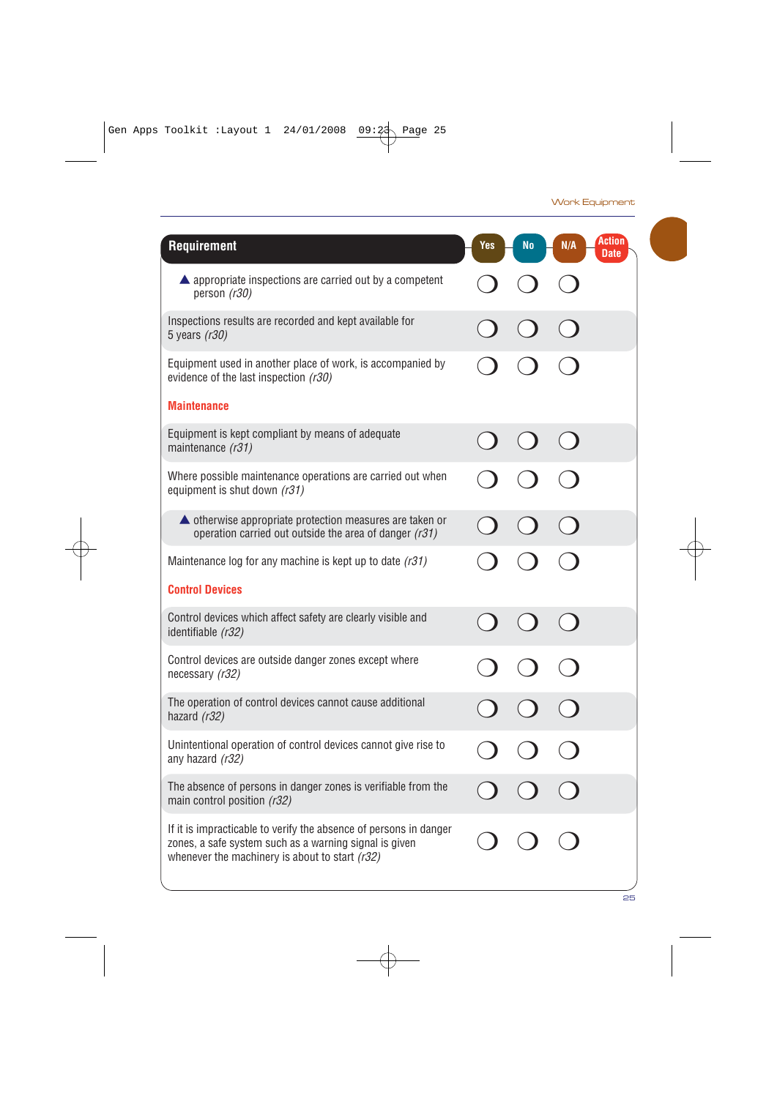| Requirement                                                                                                                                                                     | Yes | No | N/A | <b>Action</b><br>Date |
|---------------------------------------------------------------------------------------------------------------------------------------------------------------------------------|-----|----|-----|-----------------------|
| A appropriate inspections are carried out by a competent<br>person (r30)                                                                                                        |     |    |     |                       |
| Inspections results are recorded and kept available for<br>5 years (r30)                                                                                                        |     |    |     |                       |
| Equipment used in another place of work, is accompanied by<br>evidence of the last inspection (r30)                                                                             |     |    |     |                       |
| <b>Maintenance</b>                                                                                                                                                              |     |    |     |                       |
| Equipment is kept compliant by means of adequate<br>maintenance (r31)                                                                                                           |     |    |     |                       |
| Where possible maintenance operations are carried out when<br>equipment is shut down $(r31)$                                                                                    |     |    |     |                       |
| ▲ otherwise appropriate protection measures are taken or<br>operation carried out outside the area of danger (r31)                                                              |     |    |     |                       |
| Maintenance log for any machine is kept up to date $(131)$                                                                                                                      |     |    |     |                       |
| <b>Control Devices</b>                                                                                                                                                          |     |    |     |                       |
| Control devices which affect safety are clearly visible and<br>identifiable (r32)                                                                                               |     |    |     |                       |
| Control devices are outside danger zones except where<br>necessary (r32)                                                                                                        |     |    |     |                       |
| The operation of control devices cannot cause additional<br>hazard (r32)                                                                                                        |     |    |     |                       |
| Unintentional operation of control devices cannot give rise to<br>any hazard (r32)                                                                                              |     |    |     |                       |
| The absence of persons in danger zones is verifiable from the<br>main control position (r32)                                                                                    |     |    |     |                       |
| If it is impracticable to verify the absence of persons in danger<br>zones, a safe system such as a warning signal is given<br>whenever the machinery is about to start $(r32)$ |     |    |     |                       |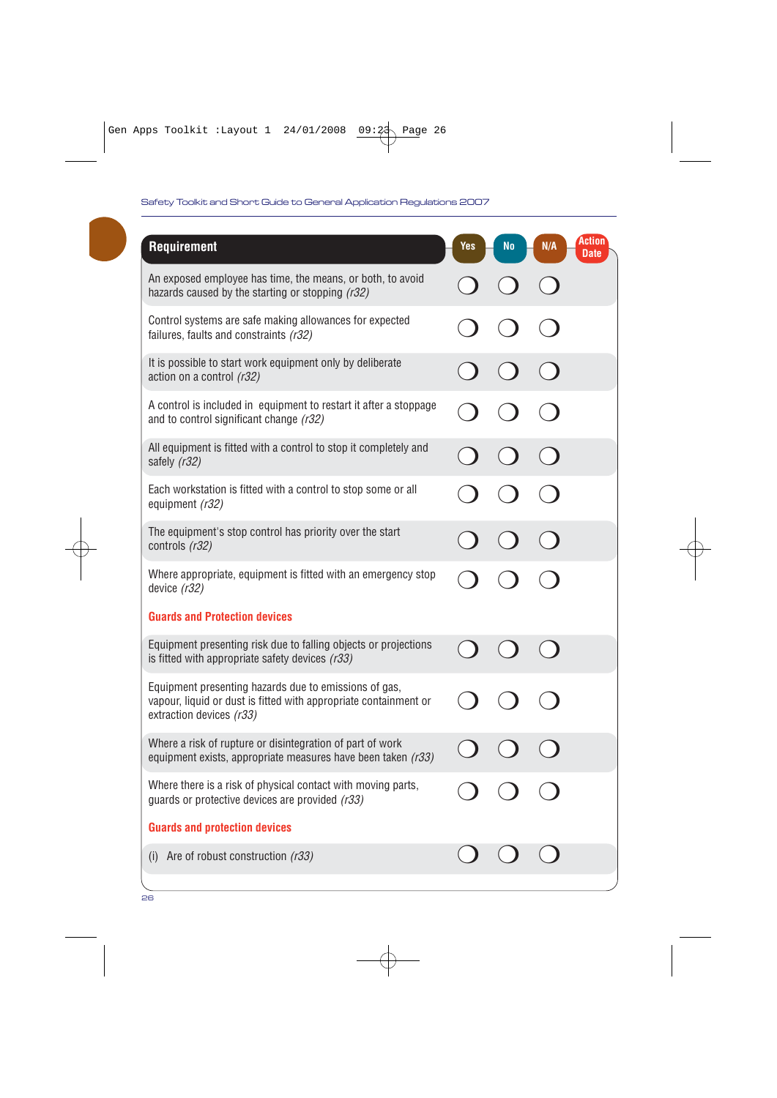| Requirement                                                                                                                                           | Yes | No | N/A | <b>Action</b><br>Date |
|-------------------------------------------------------------------------------------------------------------------------------------------------------|-----|----|-----|-----------------------|
| An exposed employee has time, the means, or both, to avoid<br>hazards caused by the starting or stopping (r32)                                        |     |    |     |                       |
| Control systems are safe making allowances for expected<br>failures, faults and constraints (r32)                                                     |     |    |     |                       |
| It is possible to start work equipment only by deliberate<br>action on a control (r32)                                                                |     |    |     |                       |
| A control is included in equipment to restart it after a stoppage<br>and to control significant change (r32)                                          |     |    |     |                       |
| All equipment is fitted with a control to stop it completely and<br>safely (r32)                                                                      |     |    |     |                       |
| Each workstation is fitted with a control to stop some or all<br>equipment (r32)                                                                      |     |    |     |                       |
| The equipment's stop control has priority over the start<br>controls (r32)                                                                            |     |    |     |                       |
| Where appropriate, equipment is fitted with an emergency stop<br>device $(r32)$                                                                       |     |    |     |                       |
| <b>Guards and Protection devices</b>                                                                                                                  |     |    |     |                       |
| Equipment presenting risk due to falling objects or projections<br>is fitted with appropriate safety devices $(133)$                                  |     |    |     |                       |
| Equipment presenting hazards due to emissions of gas,<br>vapour, liquid or dust is fitted with appropriate containment or<br>extraction devices (r33) |     |    |     |                       |
| Where a risk of rupture or disintegration of part of work<br>equipment exists, appropriate measures have been taken (r33)                             |     |    |     |                       |
| Where there is a risk of physical contact with moving parts,<br>guards or protective devices are provided (r33)                                       |     |    |     |                       |
| <b>Guards and protection devices</b>                                                                                                                  |     |    |     |                       |
| (i) Are of robust construction $(1733)$                                                                                                               |     |    |     |                       |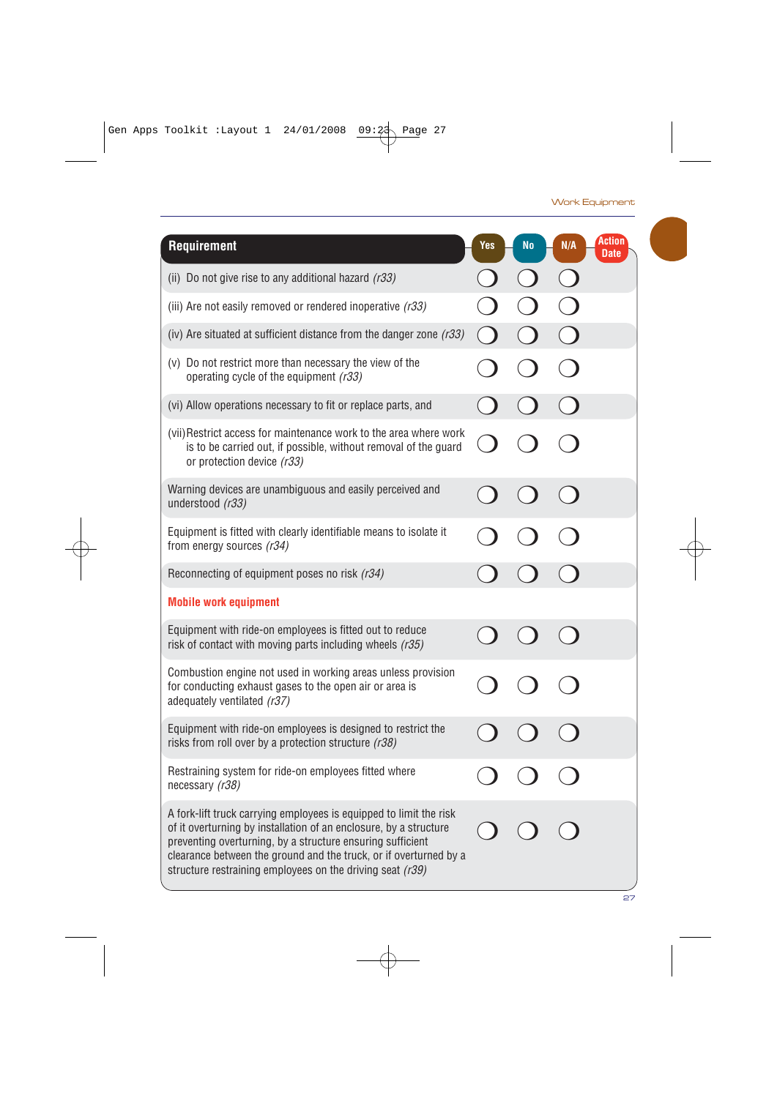#### Work Equipment

| Requirement                                                                                                                                                                                                                                                                                                                             | <b>Yes</b> | No | N/A | <b>Action</b><br><b>Date</b> |
|-----------------------------------------------------------------------------------------------------------------------------------------------------------------------------------------------------------------------------------------------------------------------------------------------------------------------------------------|------------|----|-----|------------------------------|
| (ii) Do not give rise to any additional hazard $(r33)$                                                                                                                                                                                                                                                                                  |            |    |     |                              |
| (iii) Are not easily removed or rendered inoperative (r33)                                                                                                                                                                                                                                                                              |            |    |     |                              |
| (iv) Are situated at sufficient distance from the danger zone (r33)                                                                                                                                                                                                                                                                     |            |    |     |                              |
| (v) Do not restrict more than necessary the view of the<br>operating cycle of the equipment (r33)                                                                                                                                                                                                                                       |            |    |     |                              |
| (vi) Allow operations necessary to fit or replace parts, and                                                                                                                                                                                                                                                                            |            |    |     |                              |
| (vii) Restrict access for maintenance work to the area where work<br>is to be carried out, if possible, without removal of the guard<br>or protection device (r33)                                                                                                                                                                      |            |    |     |                              |
| Warning devices are unambiguous and easily perceived and<br>understood (r33)                                                                                                                                                                                                                                                            |            |    |     |                              |
| Equipment is fitted with clearly identifiable means to isolate it<br>from energy sources (r34)                                                                                                                                                                                                                                          |            |    |     |                              |
| Reconnecting of equipment poses no risk (r34)                                                                                                                                                                                                                                                                                           |            |    |     |                              |
| <b>Mobile work equipment</b>                                                                                                                                                                                                                                                                                                            |            |    |     |                              |
| Equipment with ride-on employees is fitted out to reduce<br>risk of contact with moving parts including wheels (r35)                                                                                                                                                                                                                    |            |    |     |                              |
| Combustion engine not used in working areas unless provision<br>for conducting exhaust gases to the open air or area is<br>adequately ventilated (r37)                                                                                                                                                                                  |            |    |     |                              |
| Equipment with ride-on employees is designed to restrict the<br>risks from roll over by a protection structure (r38)                                                                                                                                                                                                                    |            |    |     |                              |
| Restraining system for ride-on employees fitted where<br>necessary (r38)                                                                                                                                                                                                                                                                |            |    |     |                              |
| A fork-lift truck carrying employees is equipped to limit the risk<br>of it overturning by installation of an enclosure, by a structure<br>preventing overturning, by a structure ensuring sufficient<br>clearance between the ground and the truck, or if overturned by a<br>structure restraining employees on the driving seat (r39) |            |    |     |                              |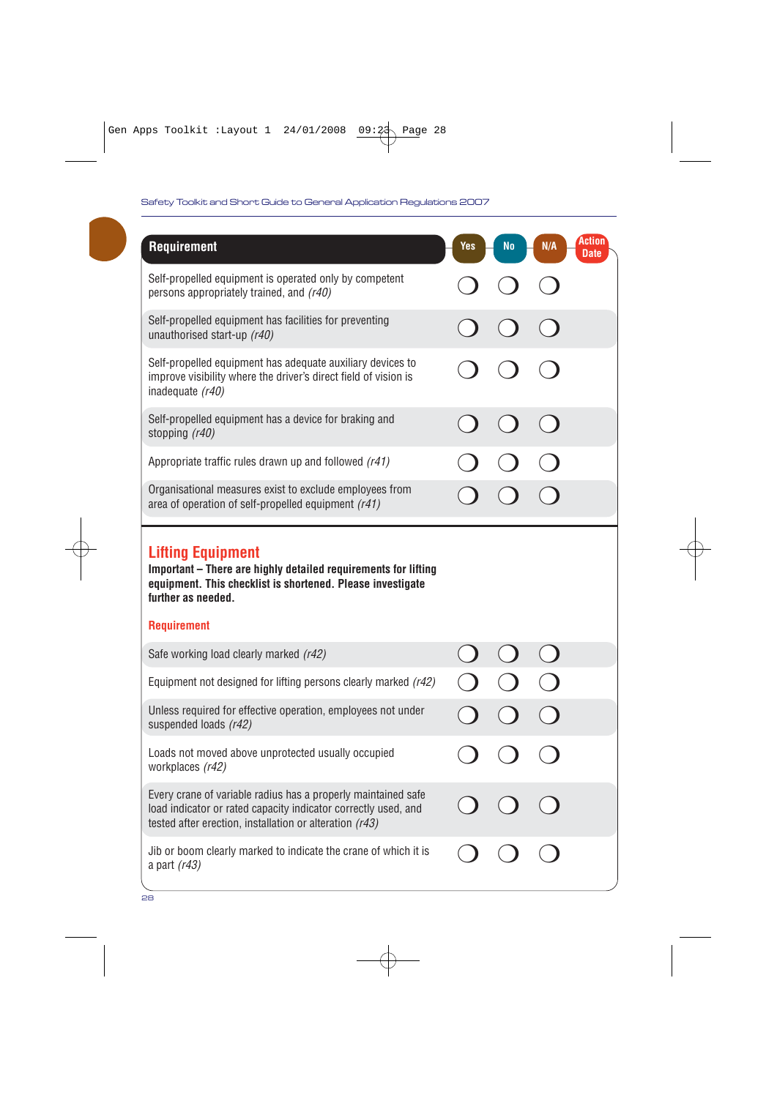| <b>Requirement</b>                                                                                                                                                                         | Yes | No | N/A | <b>Action</b><br>Date |
|--------------------------------------------------------------------------------------------------------------------------------------------------------------------------------------------|-----|----|-----|-----------------------|
| Self-propelled equipment is operated only by competent<br>persons appropriately trained, and (r40)                                                                                         |     |    |     |                       |
| Self-propelled equipment has facilities for preventing<br>unauthorised start-up (r40)                                                                                                      |     |    |     |                       |
| Self-propelled equipment has adequate auxiliary devices to<br>improve visibility where the driver's direct field of vision is<br>inadequate (r40)                                          |     |    |     |                       |
| Self-propelled equipment has a device for braking and<br>stopping (r40)                                                                                                                    |     |    |     |                       |
| Appropriate traffic rules drawn up and followed (r41)                                                                                                                                      |     |    |     |                       |
| Organisational measures exist to exclude employees from<br>area of operation of self-propelled equipment (r41)                                                                             |     |    |     |                       |
| <b>Lifting Equipment</b>                                                                                                                                                                   |     |    |     |                       |
| Important - There are highly detailed requirements for lifting<br>equipment. This checklist is shortened. Please investigate<br>further as needed.<br><b>Requirement</b>                   |     |    |     |                       |
| Safe working load clearly marked (r42)                                                                                                                                                     |     |    |     |                       |
| Equipment not designed for lifting persons clearly marked (r42)                                                                                                                            |     |    |     |                       |
| Unless required for effective operation, employees not under<br>suspended loads (r42)                                                                                                      |     |    |     |                       |
| Loads not moved above unprotected usually occupied<br>workplaces (r42)                                                                                                                     |     |    |     |                       |
| Every crane of variable radius has a properly maintained safe<br>load indicator or rated capacity indicator correctly used, and<br>tested after erection, installation or alteration (r43) |     |    |     |                       |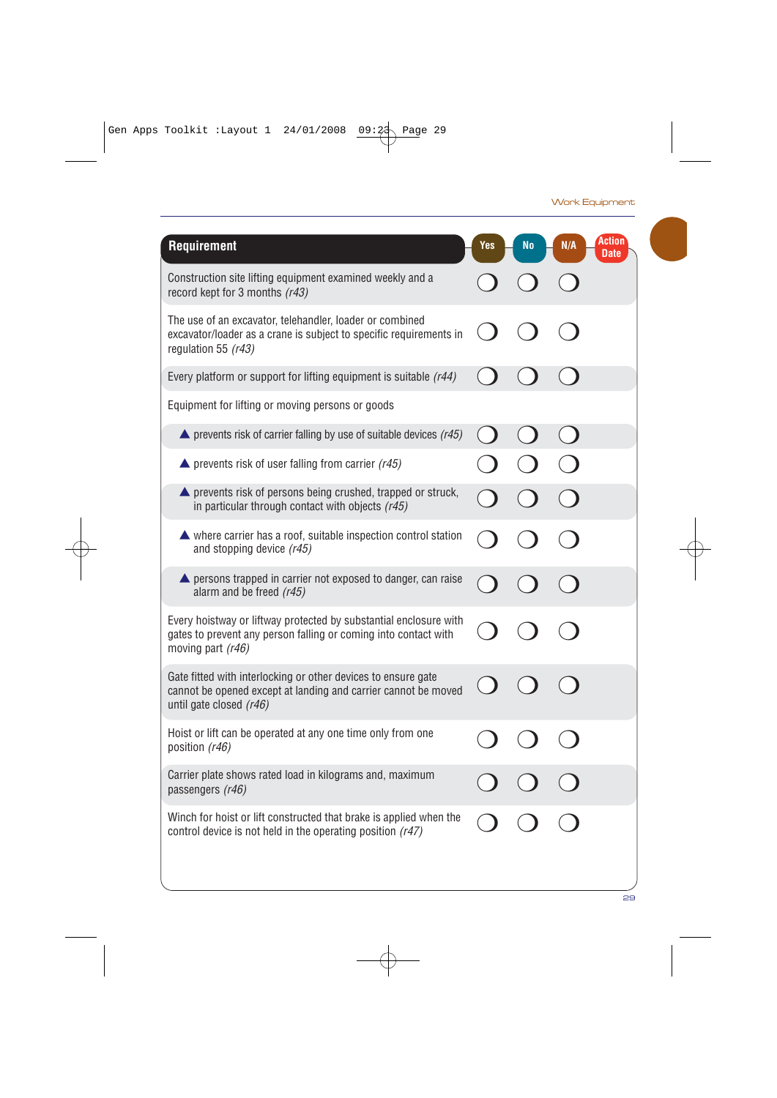#### Work Equipment

| <b>Requirement</b>                                                                                                                                         | Yes | No | N/A | Action<br>Date |
|------------------------------------------------------------------------------------------------------------------------------------------------------------|-----|----|-----|----------------|
| Construction site lifting equipment examined weekly and a<br>record kept for 3 months (r43)                                                                |     |    |     |                |
| The use of an excavator, telehandler, loader or combined<br>excavator/loader as a crane is subject to specific requirements in<br>regulation 55 $(r43)$    |     |    |     |                |
| Every platform or support for lifting equipment is suitable (r44)                                                                                          |     |    |     |                |
| Equipment for lifting or moving persons or goods                                                                                                           |     |    |     |                |
| $\triangle$ prevents risk of carrier falling by use of suitable devices ( $r45$ )                                                                          |     |    |     |                |
| $\triangle$ prevents risk of user falling from carrier (r45)                                                                                               |     |    |     |                |
| ▲ prevents risk of persons being crushed, trapped or struck,<br>in particular through contact with objects $(r45)$                                         |     |    |     |                |
| ▲ where carrier has a roof, suitable inspection control station<br>and stopping device (r45)                                                               |     |    |     |                |
| ▲ persons trapped in carrier not exposed to danger, can raise<br>alarm and be freed (r45)                                                                  |     |    |     |                |
| Every hoistway or liftway protected by substantial enclosure with<br>gates to prevent any person falling or coming into contact with<br>moving part (r46)  |     |    |     |                |
| Gate fitted with interlocking or other devices to ensure gate<br>cannot be opened except at landing and carrier cannot be moved<br>until gate closed (r46) |     |    |     |                |
| Hoist or lift can be operated at any one time only from one<br>position (r46)                                                                              |     |    |     |                |
| Carrier plate shows rated load in kilograms and, maximum<br>passengers (r46)                                                                               |     |    |     |                |
| Winch for hoist or lift constructed that brake is applied when the<br>control device is not held in the operating position $(r47)$                         |     |    |     |                |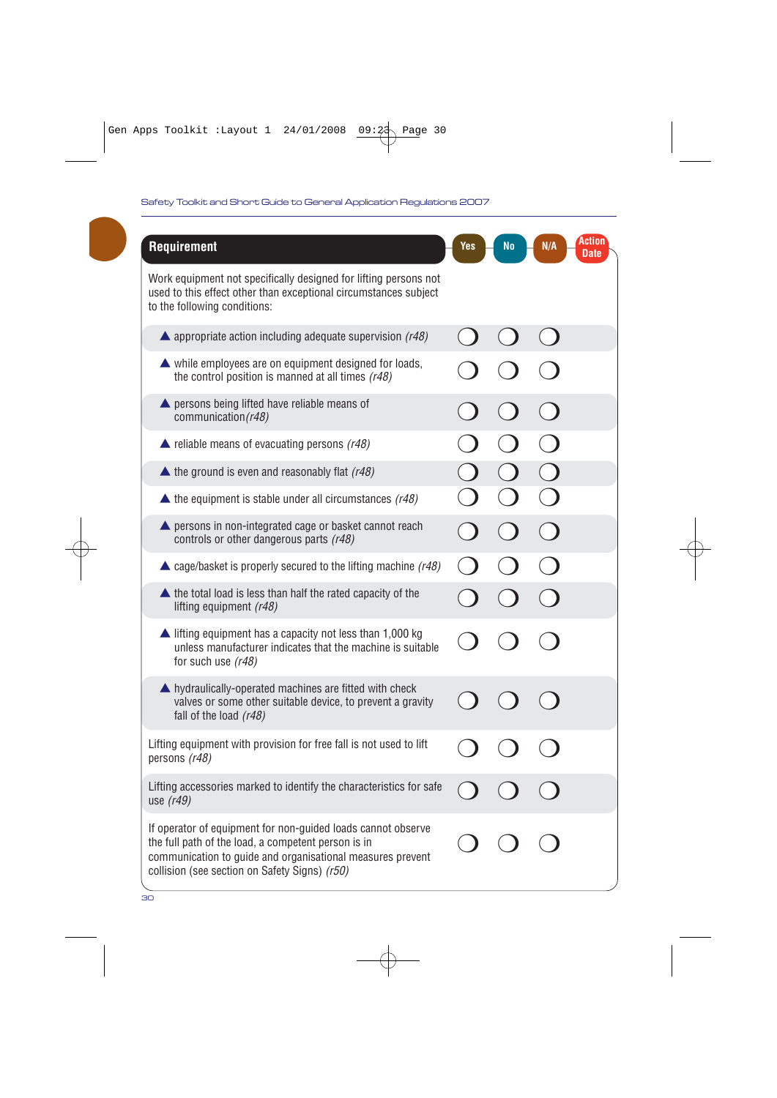| Requirement                                                                                                                                                                                                                        | <b>Yes</b> | <b>No</b> | N/A | <b>Action</b><br>Date |
|------------------------------------------------------------------------------------------------------------------------------------------------------------------------------------------------------------------------------------|------------|-----------|-----|-----------------------|
| Work equipment not specifically designed for lifting persons not<br>used to this effect other than exceptional circumstances subject<br>to the following conditions:                                                               |            |           |     |                       |
| $\triangle$ appropriate action including adequate supervision (r48)                                                                                                                                                                |            |           |     |                       |
| while employees are on equipment designed for loads,<br>the control position is manned at all times $(r48)$                                                                                                                        |            |           |     |                       |
| persons being lifted have reliable means of<br>communication $(r48)$                                                                                                                                                               |            |           |     |                       |
| $\triangle$ reliable means of evacuating persons ( $r48$ )                                                                                                                                                                         |            |           |     |                       |
| $\triangle$ the ground is even and reasonably flat (r48)                                                                                                                                                                           |            |           |     |                       |
| $\triangle$ the equipment is stable under all circumstances (r48)                                                                                                                                                                  |            |           |     |                       |
| persons in non-integrated cage or basket cannot reach<br>controls or other dangerous parts (r48)                                                                                                                                   |            |           |     |                       |
| $\triangle$ cage/basket is properly secured to the lifting machine (r48)                                                                                                                                                           |            |           |     |                       |
| $\triangle$ the total load is less than half the rated capacity of the<br>lifting equipment (r48)                                                                                                                                  |            |           |     |                       |
| $\triangle$ lifting equipment has a capacity not less than 1,000 kg<br>unless manufacturer indicates that the machine is suitable<br>for such use (r48)                                                                            |            |           |     |                       |
| A hydraulically-operated machines are fitted with check<br>valves or some other suitable device, to prevent a gravity<br>fall of the load (r48)                                                                                    |            |           |     |                       |
| Lifting equipment with provision for free fall is not used to lift<br>persons (r48)                                                                                                                                                |            |           |     |                       |
| Lifting accessories marked to identify the characteristics for safe<br>use $(r49)$                                                                                                                                                 |            |           |     |                       |
| If operator of equipment for non-guided loads cannot observe<br>the full path of the load, a competent person is in<br>communication to guide and organisational measures prevent<br>collision (see section on Safety Signs) (r50) |            |           |     |                       |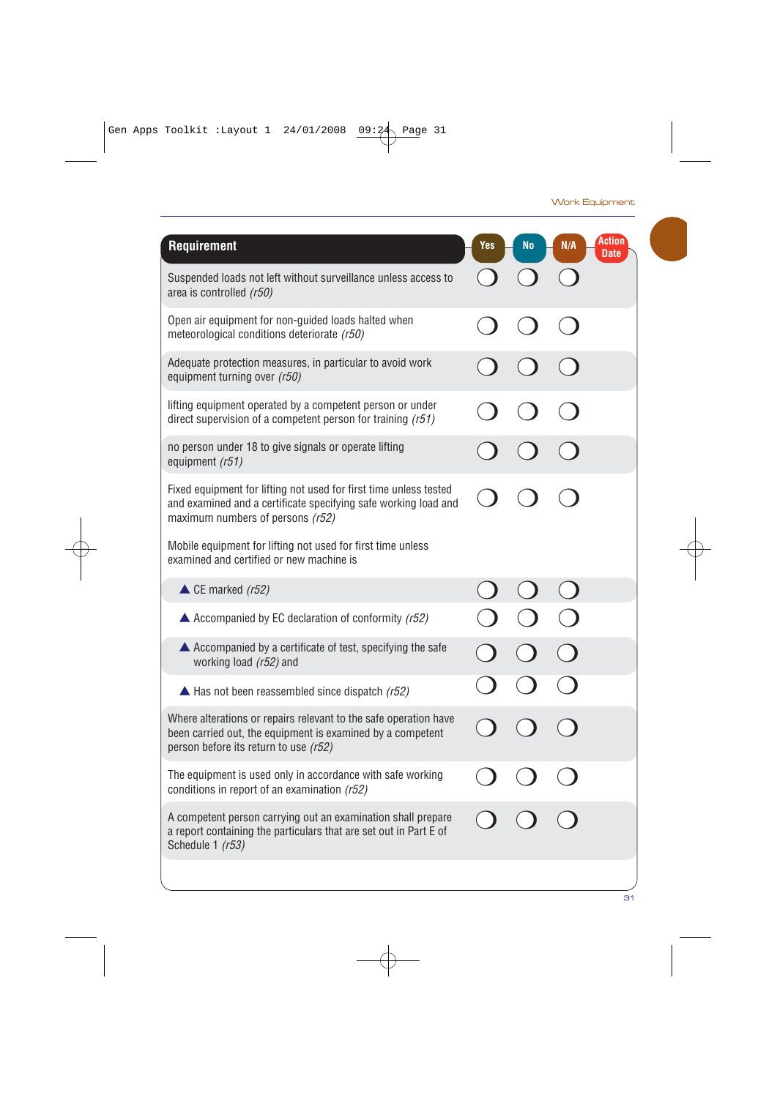| <b>Requirement</b>                                                                                                                                                       | Yes | No | N/A | <b>Action</b><br>Date |
|--------------------------------------------------------------------------------------------------------------------------------------------------------------------------|-----|----|-----|-----------------------|
| Suspended loads not left without surveillance unless access to<br>area is controlled (r50)                                                                               |     |    |     |                       |
| Open air equipment for non-guided loads halted when<br>meteorological conditions deteriorate (r50)                                                                       |     |    |     |                       |
| Adequate protection measures, in particular to avoid work<br>equipment turning over (r50)                                                                                |     |    |     |                       |
| lifting equipment operated by a competent person or under<br>direct supervision of a competent person for training $(r51)$                                               |     |    |     |                       |
| no person under 18 to give signals or operate lifting<br>equipment (r51)                                                                                                 |     |    |     |                       |
| Fixed equipment for lifting not used for first time unless tested<br>and examined and a certificate specifying safe working load and<br>maximum numbers of persons (r52) |     |    |     |                       |
| Mobile equipment for lifting not used for first time unless<br>examined and certified or new machine is                                                                  |     |    |     |                       |
| $\triangle$ CE marked (r52)                                                                                                                                              |     |    |     |                       |
| $\triangle$ Accompanied by EC declaration of conformity (r52)                                                                                                            |     |    |     |                       |
| ▲ Accompanied by a certificate of test, specifying the safe<br>working load (r52) and                                                                                    |     |    |     |                       |
| A Has not been reassembled since dispatch $(r52)$                                                                                                                        |     |    |     |                       |
| Where alterations or repairs relevant to the safe operation have<br>been carried out, the equipment is examined by a competent<br>person before its return to use (r52)  |     |    |     |                       |
| The equipment is used only in accordance with safe working<br>conditions in report of an examination (r52)                                                               |     |    |     |                       |
| A competent person carrying out an examination shall prepare<br>a report containing the particulars that are set out in Part E of<br>Schedule 1 (r53)                    |     |    |     |                       |
|                                                                                                                                                                          |     |    |     |                       |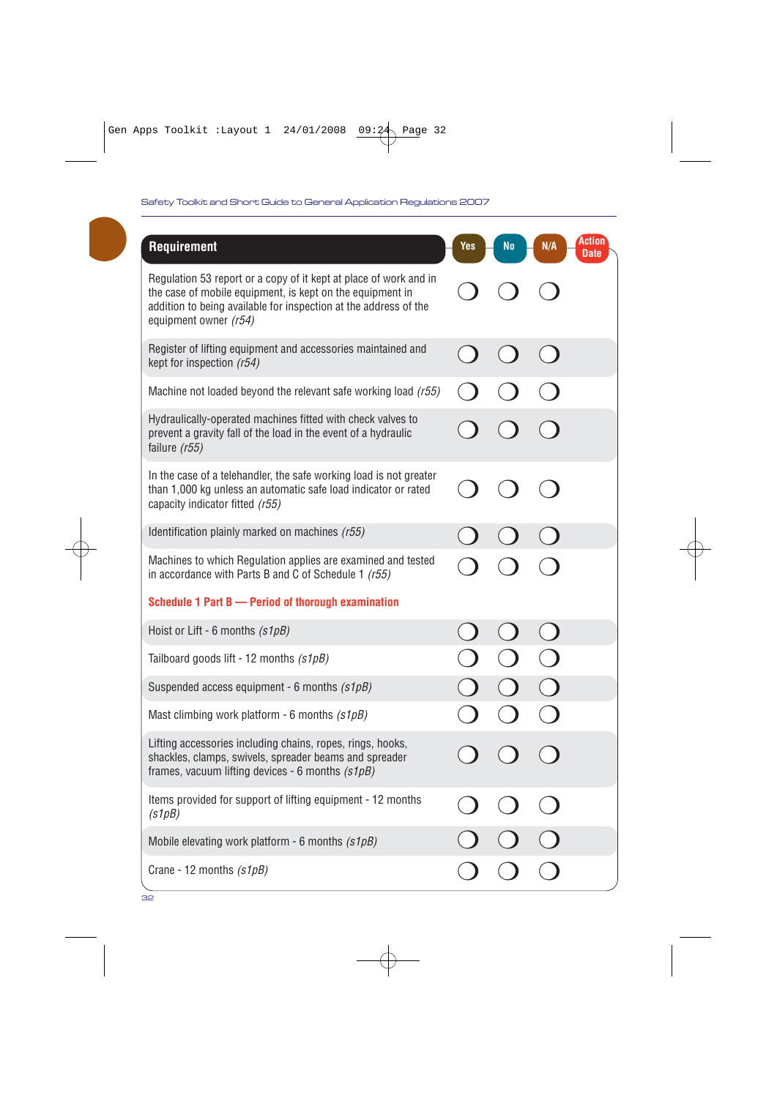| <b>Requirement</b>                                                                                                                                                                                                          | Yes | No | N/A | <b>Action</b><br>Date |
|-----------------------------------------------------------------------------------------------------------------------------------------------------------------------------------------------------------------------------|-----|----|-----|-----------------------|
| Regulation 53 report or a copy of it kept at place of work and in<br>the case of mobile equipment, is kept on the equipment in<br>addition to being available for inspection at the address of the<br>equipment owner (r54) |     |    |     |                       |
| Register of lifting equipment and accessories maintained and<br>kept for inspection (r54)                                                                                                                                   |     |    |     |                       |
| Machine not loaded beyond the relevant safe working load (r55)                                                                                                                                                              |     |    |     |                       |
| Hydraulically-operated machines fitted with check valves to<br>prevent a gravity fall of the load in the event of a hydraulic<br>failure $(r55)$                                                                            |     |    |     |                       |
| In the case of a telehandler, the safe working load is not greater<br>than 1,000 kg unless an automatic safe load indicator or rated<br>capacity indicator fitted (r55)                                                     |     |    |     |                       |
| Identification plainly marked on machines (r55)                                                                                                                                                                             |     |    |     |                       |
| Machines to which Regulation applies are examined and tested<br>in accordance with Parts B and C of Schedule 1 (r55)                                                                                                        |     |    |     |                       |
| Schedule 1 Part B - Period of thorough examination                                                                                                                                                                          |     |    |     |                       |
| Hoist or Lift - 6 months (s1pB)                                                                                                                                                                                             |     |    |     |                       |
| Tailboard goods lift - 12 months (s1pB)                                                                                                                                                                                     |     |    |     |                       |
| Suspended access equipment - 6 months (s1pB)                                                                                                                                                                                |     |    |     |                       |
| Mast climbing work platform - 6 months (s1pB)                                                                                                                                                                               |     |    |     |                       |
| Lifting accessories including chains, ropes, rings, hooks,<br>shackles, clamps, swivels, spreader beams and spreader<br>frames, vacuum lifting devices - 6 months (s1pB)                                                    |     |    |     |                       |
| Items provided for support of lifting equipment - 12 months<br>(s1pB)                                                                                                                                                       |     |    |     |                       |
| Mobile elevating work platform - 6 months (s1pB)                                                                                                                                                                            |     |    |     |                       |
| Crane - 12 months (s1pB)                                                                                                                                                                                                    |     |    |     |                       |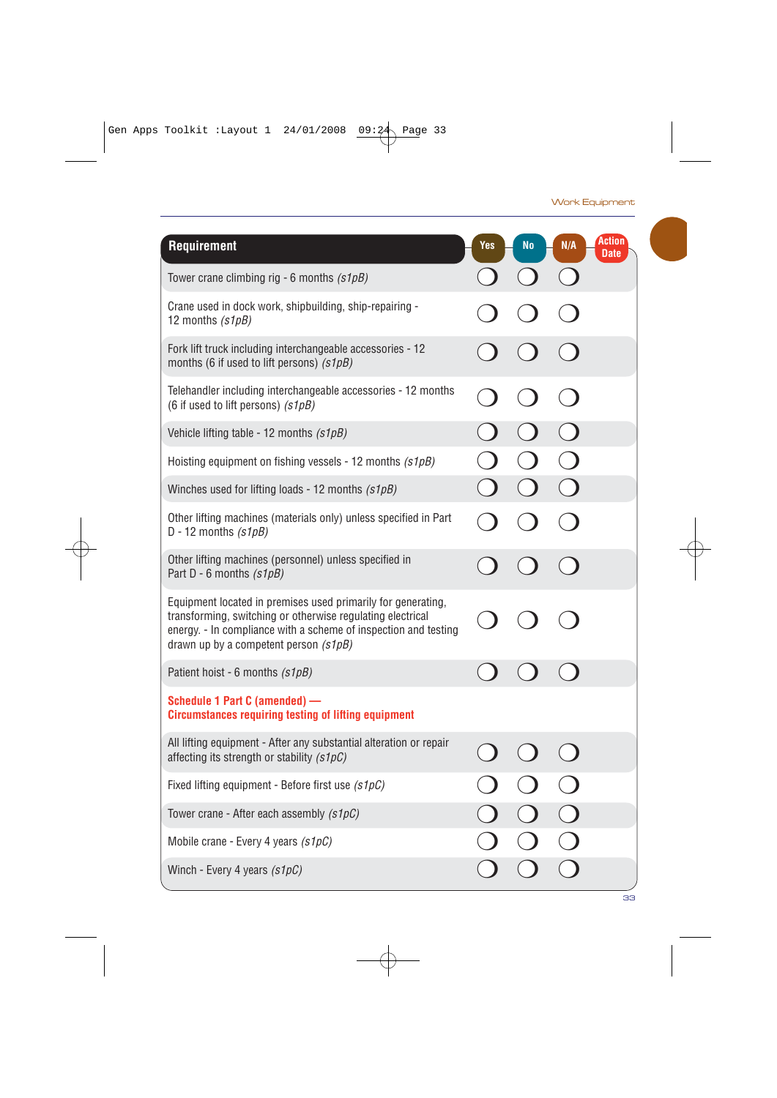#### Work Equipment

| <b>Requirement</b>                                                                                                                                                                                                                     | Yes | No | <b>Action</b><br>N/A<br>Date |  |
|----------------------------------------------------------------------------------------------------------------------------------------------------------------------------------------------------------------------------------------|-----|----|------------------------------|--|
| Tower crane climbing rig - 6 months (s1pB)                                                                                                                                                                                             |     |    |                              |  |
| Crane used in dock work, shipbuilding, ship-repairing -<br>12 months (s1pB)                                                                                                                                                            |     |    |                              |  |
| Fork lift truck including interchangeable accessories - 12<br>months (6 if used to lift persons) (s1pB)                                                                                                                                |     |    |                              |  |
| Telehandler including interchangeable accessories - 12 months<br>(6 if used to lift persons) (s1pB)                                                                                                                                    |     |    |                              |  |
| Vehicle lifting table - 12 months (s1pB)                                                                                                                                                                                               |     |    |                              |  |
| Hoisting equipment on fishing vessels - 12 months (s1pB)                                                                                                                                                                               |     |    |                              |  |
| Winches used for lifting loads - 12 months (s1pB)                                                                                                                                                                                      |     |    |                              |  |
| Other lifting machines (materials only) unless specified in Part<br>$D - 12$ months (s1pB)                                                                                                                                             |     |    |                              |  |
| Other lifting machines (personnel) unless specified in<br>Part D - 6 months (s1pB)                                                                                                                                                     |     |    |                              |  |
| Equipment located in premises used primarily for generating,<br>transforming, switching or otherwise regulating electrical<br>energy. - In compliance with a scheme of inspection and testing<br>drawn up by a competent person (s1pB) |     |    |                              |  |
| Patient hoist - 6 months (s1pB)                                                                                                                                                                                                        |     |    |                              |  |
| Schedule 1 Part C (amended) -<br><b>Circumstances requiring testing of lifting equipment</b>                                                                                                                                           |     |    |                              |  |
| All lifting equipment - After any substantial alteration or repair<br>affecting its strength or stability (s1pC)                                                                                                                       |     |    |                              |  |
| Fixed lifting equipment - Before first use (s1pC)                                                                                                                                                                                      |     |    |                              |  |
| Tower crane - After each assembly (s1pC)                                                                                                                                                                                               |     |    |                              |  |
| Mobile crane - Every 4 years $(s1pC)$                                                                                                                                                                                                  |     |    |                              |  |
| Winch - Every 4 years $(s1pC)$                                                                                                                                                                                                         |     |    |                              |  |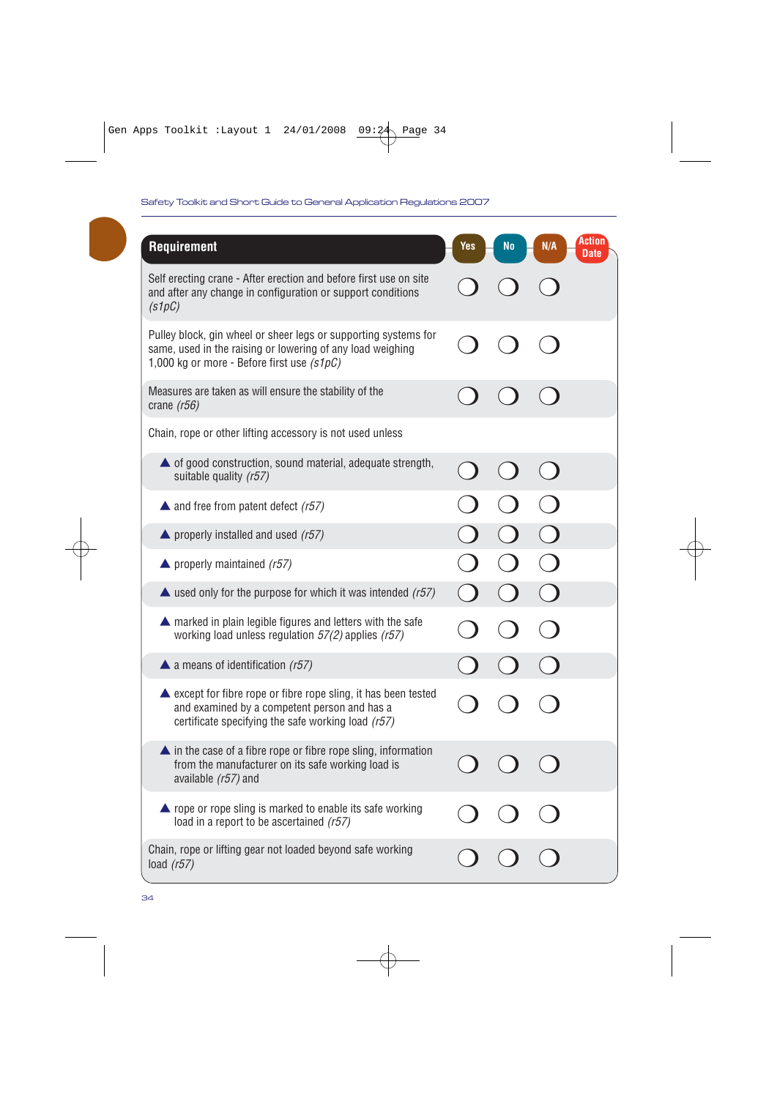| <b>Requirement</b>                                                                                                                                                          | Yes | No | <b>Action</b><br>N/A<br>Date |
|-----------------------------------------------------------------------------------------------------------------------------------------------------------------------------|-----|----|------------------------------|
| Self erecting crane - After erection and before first use on site<br>and after any change in configuration or support conditions<br>(s1pC)                                  |     |    |                              |
| Pulley block, gin wheel or sheer legs or supporting systems for<br>same, used in the raising or lowering of any load weighing<br>1,000 kg or more - Before first use (s1pC) |     |    |                              |
| Measures are taken as will ensure the stability of the<br>crane $($ r56 $)$                                                                                                 |     |    |                              |
| Chain, rope or other lifting accessory is not used unless                                                                                                                   |     |    |                              |
| ▲ of good construction, sound material, adequate strength,<br>suitable quality (r57)                                                                                        |     |    |                              |
| $\triangle$ and free from patent defect (r57)                                                                                                                               |     |    |                              |
| $\triangle$ properly installed and used (r57)                                                                                                                               |     |    |                              |
| $\blacktriangle$ properly maintained (r57)                                                                                                                                  |     |    |                              |
| $\triangle$ used only for the purpose for which it was intended (r57)                                                                                                       |     |    |                              |
| ▲ marked in plain legible figures and letters with the safe<br>working load unless regulation $57(2)$ applies (r57)                                                         |     |    |                              |
| $\triangle$ a means of identification (r57)                                                                                                                                 |     |    |                              |
| ▲ except for fibre rope or fibre rope sling, it has been tested<br>and examined by a competent person and has a<br>certificate specifying the safe working load (r57)       |     |    |                              |
| $\blacktriangle$ in the case of a fibre rope or fibre rope sling, information<br>from the manufacturer on its safe working load is<br>available (r57) and                   |     |    |                              |
| $\triangle$ rope or rope sling is marked to enable its safe working<br>load in a report to be ascertained (r57)                                                             |     |    |                              |
| Chain, rope or lifting gear not loaded beyond safe working<br>load $(r57)$                                                                                                  |     |    |                              |